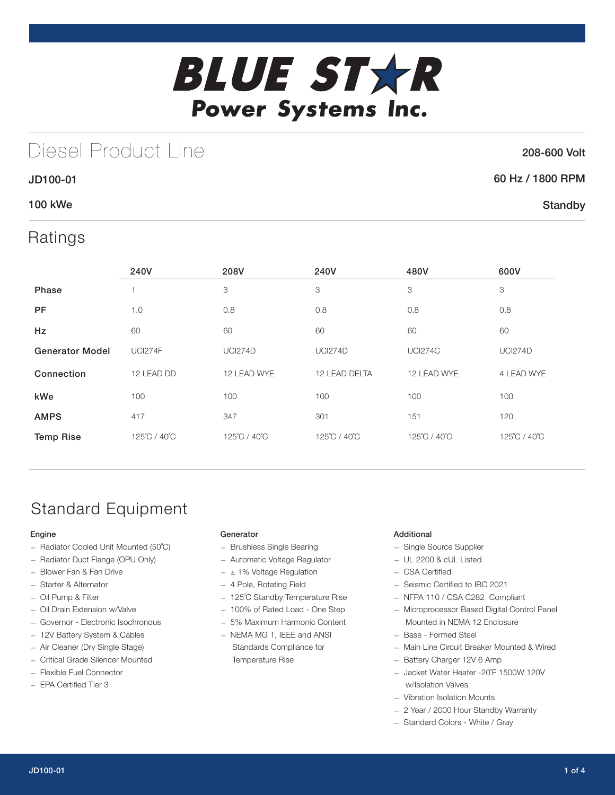

## Diesel Product Line

### 208-600 Volt

**Standby** 

### JD100-01 60 Hz / 1800 RPM

### 100 kWe

## Ratings

|                        | 240V           | 208V           | 240V           | 480V           | 600V           |
|------------------------|----------------|----------------|----------------|----------------|----------------|
| <b>Phase</b>           |                | 3              | 3              | 3              | 3              |
| <b>PF</b>              | 1.0            | 0.8            | 0.8            | 0.8            | 0.8            |
| <b>Hz</b>              | 60             | 60             | 60             | 60             | 60             |
| <b>Generator Model</b> | <b>UCI274F</b> | <b>UCI274D</b> | <b>UCI274D</b> | <b>UCI274C</b> | <b>UCI274D</b> |
| Connection             | 12 LEAD DD     | 12 LEAD WYE    | 12 LEAD DELTA  | 12 LEAD WYE    | 4 LEAD WYE     |
| kWe                    | 100            | 100            | 100            | 100            | 100            |
| <b>AMPS</b>            | 417            | 347            | 301            | 151            | 120            |
| <b>Temp Rise</b>       | 125°C / 40°C   | 125°C / 40°C   | 125°C / 40°C   | 125°C / 40°C   | 125°C / 40°C   |

## Standard Equipment

### Engine

- Radiator Cooled Unit Mounted (50˚C)
- Radiator Duct Flange (OPU Only)
- Blower Fan & Fan Drive
- Starter & Alternator
- Oil Pump & Filter
- Oil Drain Extension w/Valve
- Governor Electronic Isochronous
- 12V Battery System & Cables
- Air Cleaner (Dry Single Stage)
- Critical Grade Silencer Mounted
- Flexible Fuel Connector
- EPA Certified Tier 3

### Generator

- Brushless Single Bearing
- Automatic Voltage Regulator
- $\pm$  1% Voltage Regulation
- 4 Pole, Rotating Field
- 125˚C Standby Temperature Rise
- 100% of Rated Load One Step
- 5% Maximum Harmonic Content
- NEMA MG 1, IEEE and ANSI Standards Compliance for Temperature Rise

### Additional

- Single Source Supplier
- UL 2200 & cUL Listed
- CSA Certified
- Seismic Certified to IBC 2021
- NFPA 110 / CSA C282 Compliant
- Microprocessor Based Digital Control Panel Mounted in NEMA 12 Enclosure
- Base Formed Steel
- Main Line Circuit Breaker Mounted & Wired
- Battery Charger 12V 6 Amp
- Jacket Water Heater -20˚F 1500W 120V w/Isolation Valves
- Vibration Isolation Mounts
- 2 Year / 2000 Hour Standby Warranty
- Standard Colors White / Gray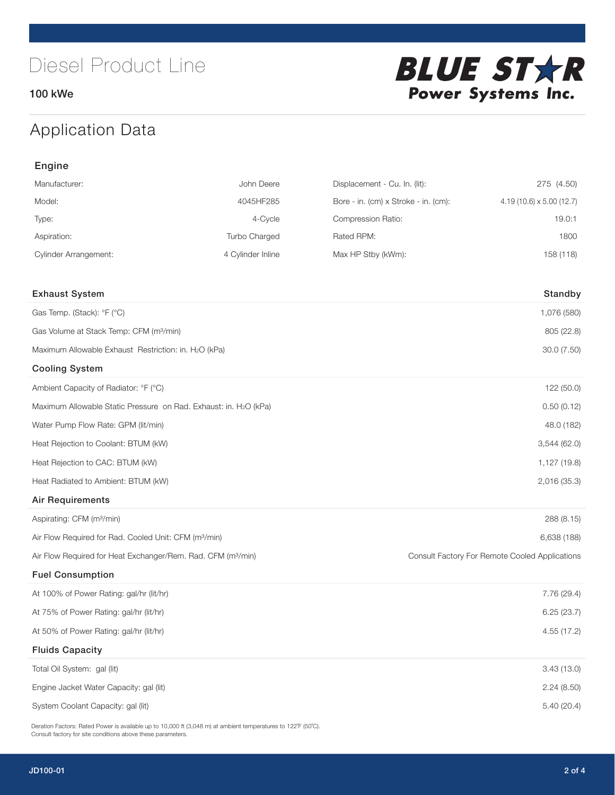100 kWe



## Application Data

| Engine                                                                   |                   |                                      |                                                |  |  |
|--------------------------------------------------------------------------|-------------------|--------------------------------------|------------------------------------------------|--|--|
| Manufacturer:                                                            | John Deere        | Displacement - Cu. In. (lit):        | 275 (4.50)                                     |  |  |
| Model:                                                                   | 4045HF285         | Bore - in. (cm) x Stroke - in. (cm): | $4.19(10.6) \times 5.00(12.7)$                 |  |  |
| Type:                                                                    | 4-Cycle           | Compression Ratio:                   | 19.0:1                                         |  |  |
| Aspiration:                                                              | Turbo Charged     | Rated RPM:                           | 1800                                           |  |  |
| <b>Cylinder Arrangement:</b>                                             | 4 Cylinder Inline | Max HP Stby (kWm):                   | 158 (118)                                      |  |  |
|                                                                          |                   |                                      |                                                |  |  |
| <b>Exhaust System</b>                                                    |                   |                                      | Standby                                        |  |  |
| Gas Temp. (Stack): °F (°C)                                               |                   |                                      | 1,076 (580)                                    |  |  |
| Gas Volume at Stack Temp: CFM (m <sup>3</sup> /min)                      |                   |                                      | 805 (22.8)                                     |  |  |
| Maximum Allowable Exhaust Restriction: in. H2O (kPa)                     |                   |                                      | 30.0 (7.50)                                    |  |  |
| <b>Cooling System</b>                                                    |                   |                                      |                                                |  |  |
| Ambient Capacity of Radiator: °F (°C)                                    |                   |                                      | 122 (50.0)                                     |  |  |
| Maximum Allowable Static Pressure on Rad. Exhaust: in. H2O (kPa)         |                   |                                      | 0.50(0.12)                                     |  |  |
| Water Pump Flow Rate: GPM (lit/min)                                      |                   |                                      | 48.0 (182)                                     |  |  |
| Heat Rejection to Coolant: BTUM (kW)                                     |                   |                                      | 3,544(62.0)                                    |  |  |
| Heat Rejection to CAC: BTUM (kW)                                         |                   |                                      | 1,127 (19.8)                                   |  |  |
| Heat Radiated to Ambient: BTUM (kW)                                      |                   |                                      | 2,016 (35.3)                                   |  |  |
| <b>Air Requirements</b>                                                  |                   |                                      |                                                |  |  |
| Aspirating: CFM (m <sup>3</sup> /min)                                    |                   |                                      | 288 (8.15)                                     |  |  |
| Air Flow Required for Rad. Cooled Unit: CFM (m <sup>3</sup> /min)        |                   |                                      | 6,638 (188)                                    |  |  |
| Air Flow Required for Heat Exchanger/Rem. Rad. CFM (m <sup>3</sup> /min) |                   |                                      | Consult Factory For Remote Cooled Applications |  |  |
| <b>Fuel Consumption</b>                                                  |                   |                                      |                                                |  |  |
| At 100% of Power Rating: gal/hr (lit/hr)                                 |                   |                                      | 7.76 (29.4)                                    |  |  |
| At 75% of Power Rating: gal/hr (lit/hr)                                  |                   |                                      | 6.25(23.7)                                     |  |  |
| At 50% of Power Rating: gal/hr (lit/hr)                                  |                   |                                      | 4.55 (17.2)                                    |  |  |
| <b>Fluids Capacity</b>                                                   |                   |                                      |                                                |  |  |
| Total Oil System: gal (lit)                                              |                   |                                      | 3.43(13.0)                                     |  |  |
| Engine Jacket Water Capacity: gal (lit)                                  |                   |                                      | 2.24 (8.50)                                    |  |  |
| System Coolant Capacity: gal (lit)                                       |                   |                                      | 5.40 (20.4)                                    |  |  |

Deration Factors: Rated Power is available up to 10,000 ft (3,048 m) at ambient temperatures to 122°F (50°C). Consult factory for site conditions above these parameters.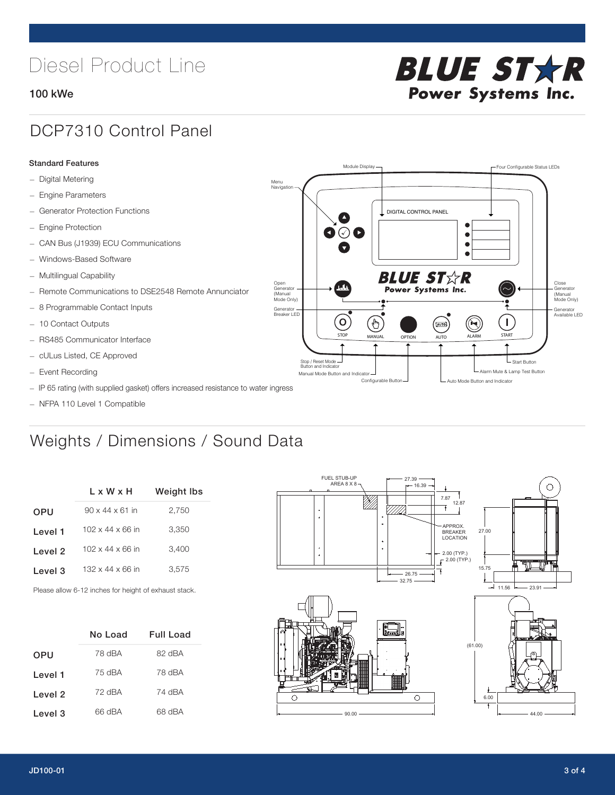# Diesel Product Line

### 100 kWe



## DCP7310 Control Panel

#### Standard Features

- Digital Metering
- Engine Parameters
- Generator Protection Functions
- Engine Protection
- CAN Bus (J1939) ECU Communications
- Windows-Based Software
- Multilingual Capability
- Remote Communications to DSE2548 Remote Annunciator
- 8 Programmable Contact Inputs
- 10 Contact Outputs
- RS485 Communicator Interface
- cULus Listed, CE Approved
- Event Recording
- IP 65 rating (with supplied gasket) offers increased resistance to water ingress
- NFPA 110 Level 1 Compatible

## Weights / Dimensions / Sound Data

| L x W x H                    | <b>Weight Ibs</b> |  |  |
|------------------------------|-------------------|--|--|
| $90 \times 44 \times 61$ in  | 2,750             |  |  |
| $102 \times 44 \times 66$ in | 3,350             |  |  |
| $102 \times 44 \times 66$ in | 3,400             |  |  |
| $132 \times 44 \times 66$ in | 3,575             |  |  |
|                              |                   |  |  |

Please allow 6-12 inches for height of exhaust stack.

|            | No Load | Full Load |
|------------|---------|-----------|
| <b>OPU</b> | 78 dBA  | 82 dBA    |
| Level 1    | 75 dBA  | 78 dBA    |
| Level 2    | 72 dBA  | 74 dBA    |
| Level 3    | 66 dBA  | 68 dBA    |